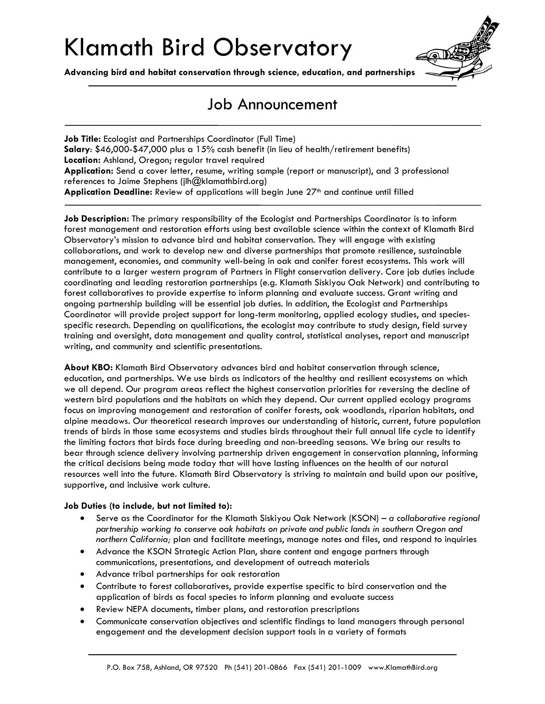## Klamath Bird Observatory

**Advancing bird and habitat conservation through science, education, and partnerships**



## Job Announcement

**Job Title:** Ecologist and Partnerships Coordinator (Full Time) **Salary**: \$46,000-\$47,000 plus a 15% cash benefit (in lieu of health/retirement benefits) **Location:** Ashland, Oregon; regular travel required **Application:** Send a cover letter, resume, writing sample (report or manuscript), and 3 professional references to Jaime Stephens (jlh@klamathbird.org) Application Deadline: Review of applications will begin June 27<sup>th</sup> and continue until filled

**Job Description:** The primary responsibility of the Ecologist and Partnerships Coordinator is to inform forest management and restoration efforts using best available science within the context of Klamath Bird Observatory's mission to advance bird and habitat conservation. They will engage with existing collaborations, and work to develop new and diverse partnerships that promote resilience, sustainable management, economies, and community well-being in oak and conifer forest ecosystems. This work will contribute to a larger western program of Partners in Flight conservation delivery. Core job duties include coordinating and leading restoration partnerships (e.g. Klamath Siskiyou Oak Network) and contributing to forest collaboratives to provide expertise to inform planning and evaluate success. Grant writing and ongoing partnership building will be essential job duties. In addition, the Ecologist and Partnerships Coordinator will provide project support for long-term monitoring, applied ecology studies, and speciesspecific research. Depending on qualifications, the ecologist may contribute to study design, field survey training and oversight, data management and quality control, statistical analyses, report and manuscript writing, and community and scientific presentations.

**About KBO:** Klamath Bird Observatory advances bird and habitat conservation through science, education, and partnerships. We use birds as indicators of the healthy and resilient ecosystems on which we all depend. Our program areas reflect the highest conservation priorities for reversing the decline of western bird populations and the habitats on which they depend. Our current applied ecology programs focus on improving management and restoration of conifer forests, oak woodlands, riparian habitats, and alpine meadows. Our theoretical research improves our understanding of historic, current, future population trends of birds in those same ecosystems and studies birds throughout their full annual life cycle to identify the limiting factors that birds face during breeding and non-breeding seasons. We bring our results to bear through science delivery involving partnership driven engagement in conservation planning, informing the critical decisions being made today that will have lasting influences on the health of our natural resources well into the future. Klamath Bird Observatory is striving to maintain and build upon our positive, supportive, and inclusive work culture.

## **Job Duties (to include, but not limited to):**

- Serve as the Coordinator for the Klamath Siskiyou Oak Network (KSON) *a collaborative regional partnership working to conserve oak habitats on private and public lands in southern Oregon and northern California;* plan and facilitate meetings, manage notes and files, and respond to inquiries
- Advance the KSON Strategic Action Plan, share content and engage partners through communications, presentations, and development of outreach materials
- Advance tribal partnerships for oak restoration
- Contribute to forest collaboratives, provide expertise specific to bird conservation and the application of birds as focal species to inform planning and evaluate success
- Review NEPA documents, timber plans, and restoration prescriptions
- Communicate conservation objectives and scientific findings to land managers through personal engagement and the development decision support tools in a variety of formats